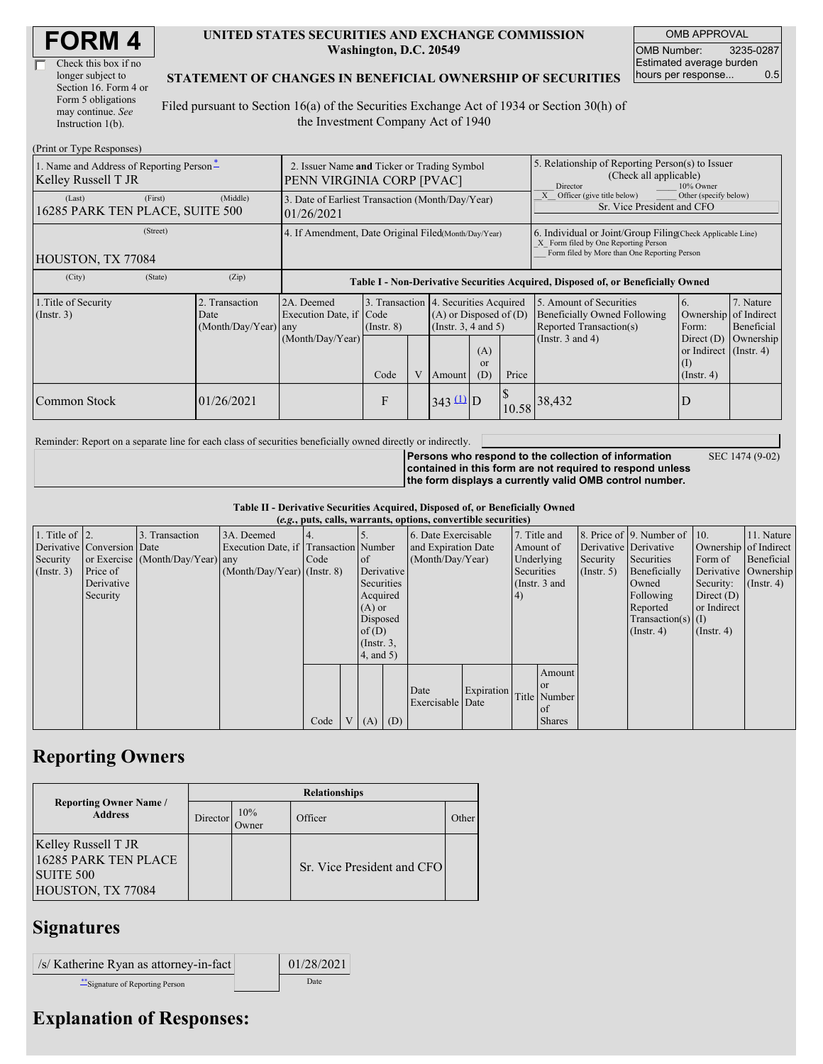| Check this box if no  |  |
|-----------------------|--|
| longer subject to     |  |
| Section 16. Form 4 or |  |
| Form 5 obligations    |  |
| may continue. See     |  |
| Instruction 1(b).     |  |

#### **UNITED STATES SECURITIES AND EXCHANGE COMMISSION Washington, D.C. 20549**

OMB APPROVAL OMB Number: 3235-0287 Estimated average burden hours per response... 0.5

#### **STATEMENT OF CHANGES IN BENEFICIAL OWNERSHIP OF SECURITIES**

Filed pursuant to Section 16(a) of the Securities Exchange Act of 1934 or Section 30(h) of the Investment Company Act of 1940

| (Print or Type Responses)                                       |                                                                          |                                                |                                                                                  |                 |   |                                                                                                     |                                                                                                                     |       |                                                                                                                                                    |                                                                                                    |                                      |  |
|-----------------------------------------------------------------|--------------------------------------------------------------------------|------------------------------------------------|----------------------------------------------------------------------------------|-----------------|---|-----------------------------------------------------------------------------------------------------|---------------------------------------------------------------------------------------------------------------------|-------|----------------------------------------------------------------------------------------------------------------------------------------------------|----------------------------------------------------------------------------------------------------|--------------------------------------|--|
| 1. Name and Address of Reporting Person*<br>Kelley Russell T JR | 2. Issuer Name and Ticker or Trading Symbol<br>PENN VIRGINIA CORP [PVAC] |                                                |                                                                                  |                 |   | 5. Relationship of Reporting Person(s) to Issuer<br>(Check all applicable)<br>Director<br>10% Owner |                                                                                                                     |       |                                                                                                                                                    |                                                                                                    |                                      |  |
| (Last)<br>16285 PARK TEN PLACE, SUITE 500                       | (First)                                                                  | (Middle)                                       | 3. Date of Earliest Transaction (Month/Day/Year)<br>01/26/2021                   |                 |   |                                                                                                     |                                                                                                                     |       | Other (specify below)<br>Officer (give title below)<br>Sr. Vice President and CFO                                                                  |                                                                                                    |                                      |  |
| (Street)<br>HOUSTON, TX 77084                                   |                                                                          |                                                | 4. If Amendment, Date Original Filed(Month/Day/Year)                             |                 |   |                                                                                                     |                                                                                                                     |       | 6. Individual or Joint/Group Filing Check Applicable Line)<br>X Form filed by One Reporting Person<br>Form filed by More than One Reporting Person |                                                                                                    |                                      |  |
| (City)                                                          | (State)                                                                  | (Zip)                                          | Table I - Non-Derivative Securities Acquired, Disposed of, or Beneficially Owned |                 |   |                                                                                                     |                                                                                                                     |       |                                                                                                                                                    |                                                                                                    |                                      |  |
| 1. Title of Security<br>(Insert. 3)                             |                                                                          | 2. Transaction<br>Date<br>(Month/Day/Year) any | 2A. Deemed<br>Execution Date, if Code<br>(Month/Day/Year)                        | $($ Instr. $8)$ |   |                                                                                                     | 3. Transaction 4. Securities Acquired<br>$(A)$ or Disposed of $(D)$<br>(Insert. 3, 4 and 5)<br>(A)<br><sub>or</sub> |       | 5. Amount of Securities<br>Beneficially Owned Following<br>Reported Transaction(s)<br>(Instr. $3$ and $4$ )                                        | 6.<br>Ownership of Indirect<br>Form:<br>Direct $(D)$<br>or Indirect $($ Instr. 4 $)$<br>$\left($ I | 7. Nature<br>Beneficial<br>Ownership |  |
|                                                                 |                                                                          |                                                |                                                                                  | Code            | V | Amount                                                                                              | (D)                                                                                                                 | Price |                                                                                                                                                    | $($ Instr. 4 $)$                                                                                   |                                      |  |
| Common Stock                                                    |                                                                          | 01/26/2021                                     |                                                                                  | F               |   | $343 \stackrel{\text{(1)}}{ } D$                                                                    |                                                                                                                     | 10.58 | 38,432                                                                                                                                             | D                                                                                                  |                                      |  |

Reminder: Report on a separate line for each class of securities beneficially owned directly or indirectly.

SEC 1474 (9-02)

**Persons who respond to the collection of information contained in this form are not required to respond unless the form displays a currently valid OMB control number.**

**Table II - Derivative Securities Acquired, Disposed of, or Beneficially Owned**

| (e.g., puts, calls, warrants, options, convertible securities) |                            |                                  |                                       |      |  |                 |                     |                     |            |            |               |             |                              |                       |                      |
|----------------------------------------------------------------|----------------------------|----------------------------------|---------------------------------------|------|--|-----------------|---------------------|---------------------|------------|------------|---------------|-------------|------------------------------|-----------------------|----------------------|
| 1. Title of $\vert$ 2.                                         |                            | 3. Transaction                   | 3A. Deemed                            |      |  |                 |                     | 6. Date Exercisable |            |            | 7. Title and  |             | 8. Price of 9. Number of 10. |                       | 11. Nature           |
|                                                                | Derivative Conversion Date |                                  | Execution Date, if Transaction Number |      |  |                 | and Expiration Date |                     |            | Amount of  |               |             | Derivative Derivative        | Ownership of Indirect |                      |
| Security                                                       |                            | or Exercise (Month/Day/Year) any |                                       | Code |  | $\circ$ f       | (Month/Day/Year)    |                     | Underlying |            | Security      | Securities  | Form of                      | Beneficial            |                      |
| $($ Instr. 3 $)$                                               | Price of                   |                                  | $(Month/Day/Year)$ (Instr. 8)         |      |  |                 | Derivative          |                     |            | Securities |               | (Insert. 5) | Beneficially                 |                       | Derivative Ownership |
|                                                                | Derivative                 |                                  |                                       |      |  | Securities      |                     |                     |            |            | (Instr. 3 and |             | Owned                        | Security:             | $($ Instr. 4 $)$     |
|                                                                | Security                   |                                  |                                       |      |  | Acquired        |                     |                     |            | (4)        |               |             | Following                    | Direct $(D)$          |                      |
|                                                                |                            |                                  |                                       |      |  | $(A)$ or        |                     |                     |            |            |               |             | Reported                     | or Indirect           |                      |
|                                                                |                            |                                  |                                       |      |  | Disposed        |                     |                     |            |            |               |             | $Transaction(s)$ (I)         |                       |                      |
|                                                                |                            |                                  |                                       |      |  | of(D)           |                     |                     |            |            |               |             | $($ Instr. 4 $)$             | $($ Instr. 4 $)$      |                      |
|                                                                |                            |                                  |                                       |      |  | $($ Instr. $3,$ |                     |                     |            |            |               |             |                              |                       |                      |
|                                                                |                            |                                  |                                       |      |  | 4, and 5)       |                     |                     |            |            |               |             |                              |                       |                      |
|                                                                |                            |                                  |                                       |      |  |                 |                     |                     |            |            | Amount        |             |                              |                       |                      |
|                                                                |                            |                                  |                                       |      |  |                 |                     | Date                |            |            | <b>or</b>     |             |                              |                       |                      |
|                                                                |                            |                                  |                                       |      |  |                 |                     | Exercisable Date    | Expiration |            | Title Number  |             |                              |                       |                      |
|                                                                |                            |                                  |                                       |      |  |                 |                     |                     |            |            | of            |             |                              |                       |                      |
|                                                                |                            |                                  |                                       | Code |  | $(A)$ $(D)$     |                     |                     |            |            | <b>Shares</b> |             |                              |                       |                      |

### **Reporting Owners**

|                                                                                             | <b>Relationships</b> |              |                            |                    |  |  |  |  |  |  |
|---------------------------------------------------------------------------------------------|----------------------|--------------|----------------------------|--------------------|--|--|--|--|--|--|
| <b>Reporting Owner Name /</b><br><b>Address</b>                                             | Director             | 10%<br>Jwner | Officer                    | Other <sup>'</sup> |  |  |  |  |  |  |
| <b>Kelley Russell T JR</b><br>16285 PARK TEN PLACE<br><b>SUITE 500</b><br>HOUSTON, TX 77084 |                      |              | Sr. Vice President and CFO |                    |  |  |  |  |  |  |

## **Signatures**

| /s/ Katherine Ryan as attorney-in-fact | 01/28/2021 |
|----------------------------------------|------------|
| ** Signature of Reporting Person       | Date       |

# **Explanation of Responses:**